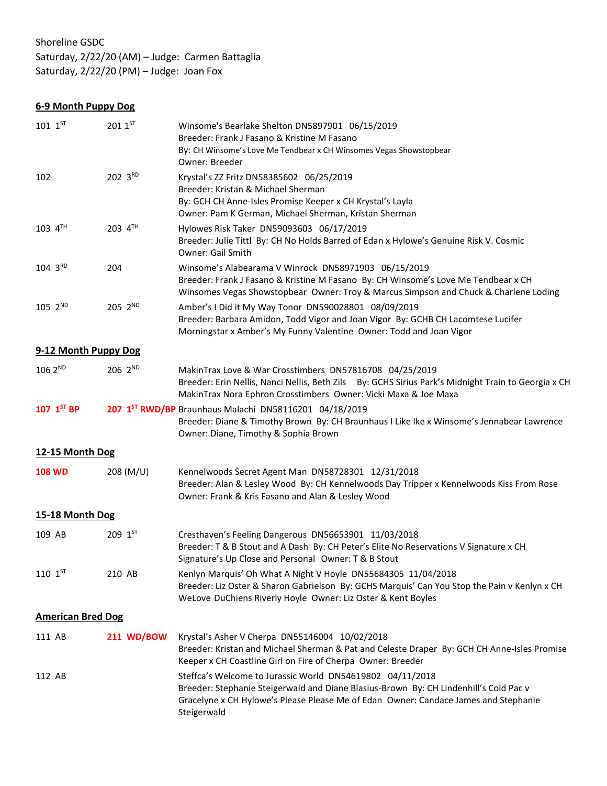# Shoreline GSDC

Saturday, 2/22/20 (AM) – Judge: Carmen Battaglia Saturday, 2/22/20 (PM) – Judge: Joan Fox

**6-9 Month Puppy Dog**

| $101~1$ <sup>ST</sup>    | $2011^{5T}$         | Winsome's Bearlake Shelton DN5897901 06/15/2019<br>Breeder: Frank J Fasano & Kristine M Fasano<br>By: CH Winsome's Love Me Tendbear x CH Winsomes Vegas Showstopbear                                                                                     |
|--------------------------|---------------------|----------------------------------------------------------------------------------------------------------------------------------------------------------------------------------------------------------------------------------------------------------|
|                          |                     | Owner: Breeder                                                                                                                                                                                                                                           |
| 102                      | 202 3RD             | Krystal's ZZ Fritz DN58385602 06/25/2019<br>Breeder: Kristan & Michael Sherman<br>By: GCH CH Anne-Isles Promise Keeper x CH Krystal's Layla<br>Owner: Pam K German, Michael Sherman, Kristan Sherman                                                     |
| $103$ $4^{TH}$           | 203 4TH             | Hylowes Risk Taker DN59093603 06/17/2019<br>Breeder: Julie Tittl By: CH No Holds Barred of Edan x Hylowe's Genuine Risk V. Cosmic<br><b>Owner: Gail Smith</b>                                                                                            |
| 104 3RD                  | 204                 | Winsome's Alabearama V Winrock DN58971903 06/15/2019<br>Breeder: Frank J Fasano & Kristine M Fasano By: CH Winsome's Love Me Tendbear x CH<br>Winsomes Vegas Showstopbear Owner: Troy & Marcus Simpson and Chuck & Charlene Loding                       |
| $105 \, 2^{ND}$          | 205 2 <sup>ND</sup> | Amber's I Did it My Way Tonor DN590028801 08/09/2019<br>Breeder: Barbara Amidon, Todd Vigor and Joan Vigor By: GCHB CH Lacomtese Lucifer<br>Morningstar x Amber's My Funny Valentine Owner: Todd and Joan Vigor                                          |
| 9-12 Month Puppy Dog     |                     |                                                                                                                                                                                                                                                          |
| 106 2ND                  | 206 2 <sup>ND</sup> | MakinTrax Love & War Crosstimbers DN57816708 04/25/2019<br>Breeder: Erin Nellis, Nanci Nellis, Beth Zils By: GCHS Sirius Park's Midnight Train to Georgia x CH<br>MakinTrax Nora Ephron Crosstimbers Owner: Vicki Maxa & Joe Maxa                        |
| 107 1ST BP               |                     | 207 1ST RWD/BP Braunhaus Malachi DN58116201 04/18/2019<br>Breeder: Diane & Timothy Brown By: CH Braunhaus I Like Ike x Winsome's Jennabear Lawrence<br>Owner: Diane, Timothy & Sophia Brown                                                              |
| 12-15 Month Dog          |                     |                                                                                                                                                                                                                                                          |
| <b>108 WD</b>            | 208 (M/U)           | Kennelwoods Secret Agent Man DN58728301 12/31/2018<br>Breeder: Alan & Lesley Wood By: CH Kennelwoods Day Tripper x Kennelwoods Kiss From Rose<br>Owner: Frank & Kris Fasano and Alan & Lesley Wood                                                       |
| 15-18 Month Dog          |                     |                                                                                                                                                                                                                                                          |
| 109 AB                   | $209 \; 1^{57}$     | Cresthaven's Feeling Dangerous DN56653901 11/03/2018<br>Breeder: T & B Stout and A Dash By: CH Peter's Elite No Reservations V Signature x CH<br>Signature's Up Close and Personal Owner: T & B Stout                                                    |
| $110 \; 1^{57}$          | 210 AB              | Kenlyn Marquis' Oh What A Night V Hoyle DN55684305 11/04/2018<br>Breeder: Liz Oster & Sharon Gabrielson By: GCHS Marquis' Can You Stop the Pain v Kenlyn x CH<br>WeLove DuChiens Riverly Hoyle Owner: Liz Oster & Kent Boyles                            |
| <b>American Bred Dog</b> |                     |                                                                                                                                                                                                                                                          |
| 111 AB                   | <b>211 WD/BOW</b>   | Krystal's Asher V Cherpa DN55146004 10/02/2018<br>Breeder: Kristan and Michael Sherman & Pat and Celeste Draper By: GCH CH Anne-Isles Promise<br>Keeper x CH Coastline Girl on Fire of Cherpa Owner: Breeder                                             |
| 112 AB                   |                     | Steffca's Welcome to Jurassic World DN54619802 04/11/2018<br>Breeder: Stephanie Steigerwald and Diane Blasius-Brown By: CH Lindenhill's Cold Pac v<br>Gracelyne x CH Hylowe's Please Please Me of Edan Owner: Candace James and Stephanie<br>Steigerwald |
|                          |                     |                                                                                                                                                                                                                                                          |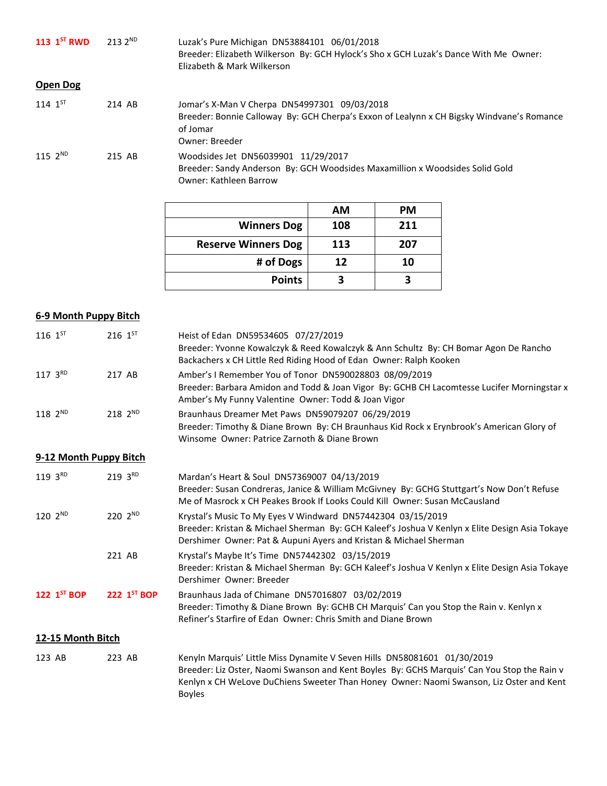| 113 $1^{5}$ RWD | $2132^{ND}$ | Luzak's Pure Michigan DN53884101 06/01/2018<br>Breeder: Elizabeth Wilkerson By: GCH Hylock's Sho x GCH Luzak's Dance With Me Owner:<br>Elizabeth & Mark Wilkerson       |
|-----------------|-------------|-------------------------------------------------------------------------------------------------------------------------------------------------------------------------|
| Open Dog        |             |                                                                                                                                                                         |
| $114 \; 1^{57}$ | 214 AB      | Jomar's X-Man V Cherpa DN54997301 09/03/2018<br>Breeder: Bonnie Calloway By: GCH Cherpa's Exxon of Lealynn x CH Bigsky Windvane's Romance<br>of Jomar<br>Owner: Breeder |
| $115, 2^{ND}$   | 215 AB      | Woodsides Jet DN56039901 11/29/2017<br>Breeder: Sandy Anderson By: GCH Woodsides Maxamillion x Woodsides Solid Gold<br><b>Owner: Kathleen Barrow</b>                    |

|                            | AM  | <b>PM</b> |
|----------------------------|-----|-----------|
| <b>Winners Dog</b>         | 108 | 211       |
| <b>Reserve Winners Dog</b> | 113 | 207       |
| # of Dogs                  | 12  | 10        |
| <b>Points</b>              |     |           |

### **6-9 Month Puppy Bitch**

| $116 \; 1^{57}$        | 216 $1^{57}$       | Heist of Edan DN59534605 07/27/2019                                                            |
|------------------------|--------------------|------------------------------------------------------------------------------------------------|
|                        |                    | Breeder: Yvonne Kowalczyk & Reed Kowalczyk & Ann Schultz By: CH Bomar Agon De Rancho           |
|                        |                    | Backachers x CH Little Red Riding Hood of Edan Owner: Ralph Kooken                             |
|                        |                    |                                                                                                |
| $117 \, 3^{RD}$        | 217 AB             | Amber's I Remember You of Tonor DN590028803 08/09/2019                                         |
|                        |                    | Breeder: Barbara Amidon and Todd & Joan Vigor By: GCHB CH Lacomtesse Lucifer Morningstar x     |
|                        |                    | Amber's My Funny Valentine Owner: Todd & Joan Vigor                                            |
| $118 \, 2^{ND}$        | $218 \, 2^{ND}$    | Braunhaus Dreamer Met Paws DN59079207 06/29/2019                                               |
|                        |                    | Breeder: Timothy & Diane Brown By: CH Braunhaus Kid Rock x Erynbrook's American Glory of       |
|                        |                    | Winsome, Owner: Patrice Zarnoth & Diane Brown                                                  |
|                        |                    |                                                                                                |
| 9-12 Month Puppy Bitch |                    |                                                                                                |
| $119.3^{RD}$           | $219.3^{RD}$       | Mardan's Heart & Soul DN57369007 04/13/2019                                                    |
|                        |                    | Breeder: Susan Condreras, Janice & William McGivney By: GCHG Stuttgart's Now Don't Refuse      |
|                        |                    | Me of Masrock x CH Peakes Brook If Looks Could Kill Owner: Susan McCausland                    |
| $1202^{\text{ND}}$     | $2202^{\text{ND}}$ | Krystal's Music To My Eyes V Windward DN57442304 03/15/2019                                    |
|                        |                    | Breeder: Kristan & Michael Sherman By: GCH Kaleef's Joshua V Kenlyn x Elite Design Asia Tokaye |
|                        |                    | Dershimer Owner: Pat & Aupuni Ayers and Kristan & Michael Sherman                              |
|                        |                    |                                                                                                |
|                        | 221 AB             | Krystal's Maybe It's Time DN57442302 03/15/2019                                                |

| Breeder: Kristan & Michael Sherman By: GCH Kaleef's Joshua V Kenlyn x Elite Design Asia Tokaye |
|------------------------------------------------------------------------------------------------|
|                                                                                                |
|                                                                                                |

**122 1 ST BOP 222 1 ST BOP** Braunhaus Jada of Chimane DN57016807 03/02/2019 Breeder: Timothy & Diane Brown By: GCHB CH Marquis' Can you Stop the Rain v. Kenlyn x Refiner's Starfire of Edan Owner: Chris Smith and Diane Brown

## **12-15 Month Bitch**

| 123 AB | 223 AB | Kenyln Marquis' Little Miss Dynamite V Seven Hills DN58081601 01/30/2019                    |  |  |
|--------|--------|---------------------------------------------------------------------------------------------|--|--|
|        |        | Breeder: Liz Oster, Naomi Swanson and Kent Boyles By: GCHS Marquis' Can You Stop the Rain v |  |  |
|        |        | Kenlyn x CH WeLove DuChiens Sweeter Than Honey Owner: Naomi Swanson, Liz Oster and Kent     |  |  |
|        |        | <b>Boyles</b>                                                                               |  |  |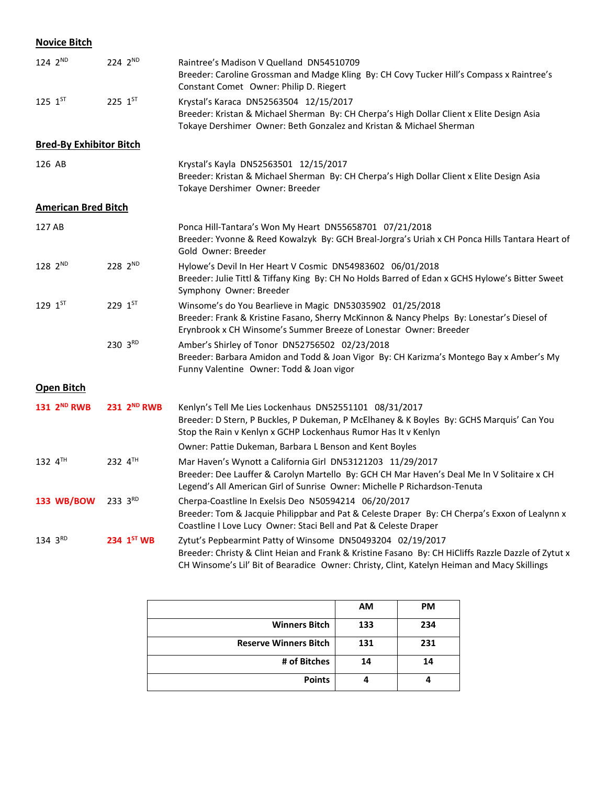## **Novice Bitch**

| 124 2ND                        | 224 2ND                 | Raintree's Madison V Quelland DN54510709<br>Breeder: Caroline Grossman and Madge Kling By: CH Covy Tucker Hill's Compass x Raintree's<br>Constant Comet Owner: Philip D. Riegert                                                                                 |
|--------------------------------|-------------------------|------------------------------------------------------------------------------------------------------------------------------------------------------------------------------------------------------------------------------------------------------------------|
| $125 \; 1^{57}$                | 225 1ST                 | Krystal's Karaca DN52563504 12/15/2017<br>Breeder: Kristan & Michael Sherman By: CH Cherpa's High Dollar Client x Elite Design Asia<br>Tokaye Dershimer Owner: Beth Gonzalez and Kristan & Michael Sherman                                                       |
| <b>Bred-By Exhibitor Bitch</b> |                         |                                                                                                                                                                                                                                                                  |
| 126 AB                         |                         | Krystal's Kayla DN52563501 12/15/2017<br>Breeder: Kristan & Michael Sherman By: CH Cherpa's High Dollar Client x Elite Design Asia<br>Tokaye Dershimer Owner: Breeder                                                                                            |
| <b>American Bred Bitch</b>     |                         |                                                                                                                                                                                                                                                                  |
| 127 AB                         |                         | Ponca Hill-Tantara's Won My Heart DN55658701 07/21/2018<br>Breeder: Yvonne & Reed Kowalzyk By: GCH Breal-Jorgra's Uriah x CH Ponca Hills Tantara Heart of<br>Gold Owner: Breeder                                                                                 |
| $128 \, 2^{ND}$                | 228 2ND                 | Hylowe's Devil In Her Heart V Cosmic DN54983602 06/01/2018<br>Breeder: Julie Tittl & Tiffany King By: CH No Holds Barred of Edan x GCHS Hylowe's Bitter Sweet<br>Symphony Owner: Breeder                                                                         |
| $129 \; 1^{ST}$                | 229 1ST                 | Winsome's do You Bearlieve in Magic DN53035902 01/25/2018<br>Breeder: Frank & Kristine Fasano, Sherry McKinnon & Nancy Phelps By: Lonestar's Diesel of<br>Erynbrook x CH Winsome's Summer Breeze of Lonestar Owner: Breeder                                      |
|                                | 230 3RD                 | Amber's Shirley of Tonor DN52756502 02/23/2018<br>Breeder: Barbara Amidon and Todd & Joan Vigor By: CH Karizma's Montego Bay x Amber's My<br>Funny Valentine Owner: Todd & Joan vigor                                                                            |
| <b>Open Bitch</b>              |                         |                                                                                                                                                                                                                                                                  |
| 131 2 <sup>ND</sup> RWB        | 231 2 <sup>ND</sup> RWB | Kenlyn's Tell Me Lies Lockenhaus DN52551101 08/31/2017<br>Breeder: D Stern, P Buckles, P Dukeman, P McElhaney & K Boyles By: GCHS Marquis' Can You<br>Stop the Rain v Kenlyn x GCHP Lockenhaus Rumor Has It v Kenlyn                                             |
|                                |                         | Owner: Pattie Dukeman, Barbara L Benson and Kent Boyles                                                                                                                                                                                                          |
| 132 4TH                        | $232 4^{TH}$            | Mar Haven's Wynott a California Girl DN53121203 11/29/2017<br>Breeder: Dee Lauffer & Carolyn Martello By: GCH CH Mar Haven's Deal Me In V Solitaire x CH<br>Legend's All American Girl of Sunrise Owner: Michelle P Richardson-Tenuta                            |
| 133 WB/BOW                     | $233 \, 3^{RD}$         | Cherpa-Coastline In Exelsis Deo N50594214 06/20/2017<br>Breeder: Tom & Jacquie Philippbar and Pat & Celeste Draper By: CH Cherpa's Exxon of Lealynn x<br>Coastline I Love Lucy Owner: Staci Bell and Pat & Celeste Draper                                        |
| 134 3RD                        | 234 1ST WB              | Zytut's Pepbearmint Patty of Winsome DN50493204 02/19/2017<br>Breeder: Christy & Clint Heian and Frank & Kristine Fasano By: CH HiCliffs Razzle Dazzle of Zytut x<br>CH Winsome's Lil' Bit of Bearadice Owner: Christy, Clint, Katelyn Heiman and Macy Skillings |

| <b>PM</b><br><b>AM</b><br><b>Winners Bitch</b><br>234<br>133<br><b>Reserve Winners Bitch</b><br>231<br>131<br># of Bitches<br>14<br>14<br><b>Points</b> |  |  |
|---------------------------------------------------------------------------------------------------------------------------------------------------------|--|--|
|                                                                                                                                                         |  |  |
|                                                                                                                                                         |  |  |
|                                                                                                                                                         |  |  |
|                                                                                                                                                         |  |  |
|                                                                                                                                                         |  |  |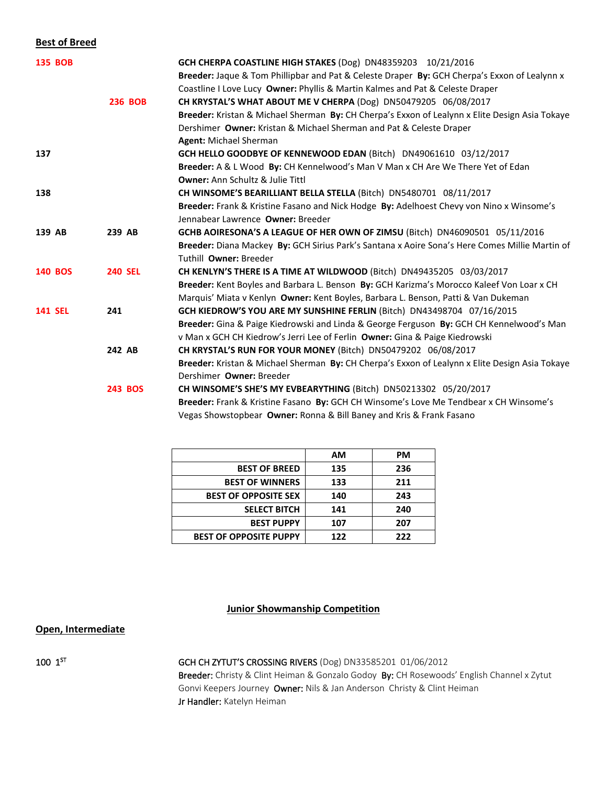#### **Best of Breed**

| <b>135 BOB</b> |                | GCH CHERPA COASTLINE HIGH STAKES (Dog) DN48359203 10/21/2016                                   |
|----------------|----------------|------------------------------------------------------------------------------------------------|
|                |                | Breeder: Jaque & Tom Phillipbar and Pat & Celeste Draper By: GCH Cherpa's Exxon of Lealynn x   |
|                |                | Coastline I Love Lucy Owner: Phyllis & Martin Kalmes and Pat & Celeste Draper                  |
|                | <b>236 BOB</b> | CH KRYSTAL'S WHAT ABOUT ME V CHERPA (Dog) DN50479205 06/08/2017                                |
|                |                | Breeder: Kristan & Michael Sherman By: CH Cherpa's Exxon of Lealynn x Elite Design Asia Tokaye |
|                |                | Dershimer Owner: Kristan & Michael Sherman and Pat & Celeste Draper                            |
|                |                | <b>Agent: Michael Sherman</b>                                                                  |
| 137            |                | GCH HELLO GOODBYE OF KENNEWOOD EDAN (Bitch) DN49061610 03/12/2017                              |
|                |                | Breeder: A & L Wood By: CH Kennelwood's Man V Man x CH Are We There Yet of Edan                |
|                |                | <b>Owner: Ann Schultz &amp; Julie Tittl</b>                                                    |
| 138            |                | CH WINSOME'S BEARILLIANT BELLA STELLA (Bitch) DN5480701 08/11/2017                             |
|                |                | Breeder: Frank & Kristine Fasano and Nick Hodge By: Adelhoest Chevy von Nino x Winsome's       |
|                |                | Jennabear Lawrence Owner: Breeder                                                              |
| 139 AB         | 239 AB         | GCHB AOIRESONA'S A LEAGUE OF HER OWN OF ZIMSU (Bitch) DN46090501 05/11/2016                    |
|                |                | Breeder: Diana Mackey By: GCH Sirius Park's Santana x Aoire Sona's Here Comes Millie Martin of |
|                |                | Tuthill Owner: Breeder                                                                         |
| <b>140 BOS</b> | <b>240 SEL</b> | CH KENLYN'S THERE IS A TIME AT WILDWOOD (Bitch) DN49435205 03/03/2017                          |
|                |                | Breeder: Kent Boyles and Barbara L. Benson By: GCH Karizma's Morocco Kaleef Von Loar x CH      |
|                |                | Marquis' Miata v Kenlyn Owner: Kent Boyles, Barbara L. Benson, Patti & Van Dukeman             |
| <b>141 SEL</b> | 241            | GCH KIEDROW'S YOU ARE MY SUNSHINE FERLIN (Bitch) DN43498704 07/16/2015                         |
|                |                | Breeder: Gina & Paige Kiedrowski and Linda & George Ferguson By: GCH CH Kennelwood's Man       |
|                |                | v Man x GCH CH Kiedrow's Jerri Lee of Ferlin Owner: Gina & Paige Kiedrowski                    |
|                | 242 AB         | CH KRYSTAL'S RUN FOR YOUR MONEY (Bitch) DN50479202 06/08/2017                                  |
|                |                | Breeder: Kristan & Michael Sherman By: CH Cherpa's Exxon of Lealynn x Elite Design Asia Tokaye |
|                |                | Dershimer Owner: Breeder                                                                       |
|                | <b>243 BOS</b> | CH WINSOME'S SHE'S MY EVBEARYTHING (Bitch) DN50213302 05/20/2017                               |
|                |                | Breeder: Frank & Kristine Fasano By: GCH CH Winsome's Love Me Tendbear x CH Winsome's          |
|                |                | Vegas Showstopbear Owner: Ronna & Bill Baney and Kris & Frank Fasano                           |

|                               | АM  | <b>PM</b> |
|-------------------------------|-----|-----------|
| <b>BEST OF BREED</b>          | 135 | 236       |
| <b>BEST OF WINNERS</b>        | 133 | 211       |
| <b>BEST OF OPPOSITE SEX</b>   | 140 | 243       |
| <b>SELECT BITCH</b>           | 141 | 240       |
| <b>BEST PUPPY</b>             | 107 | 207       |
| <b>BEST OF OPPOSITE PUPPY</b> | 122 | 222       |

#### **Junior Showmanship Competition**

### **Open, Intermediate**

 $100$   $1^\text{ST}$ 

GCH CH ZYTUT'S CROSSING RIVERS (Dog) DN33585201 01/06/2012

Breeder: Christy & Clint Heiman & Gonzalo Godoy By: CH Rosewoods' English Channel x Zytut Gonvi Keepers Journey Owner: Nils & Jan Anderson Christy & Clint Heiman Jr Handler: Katelyn Heiman